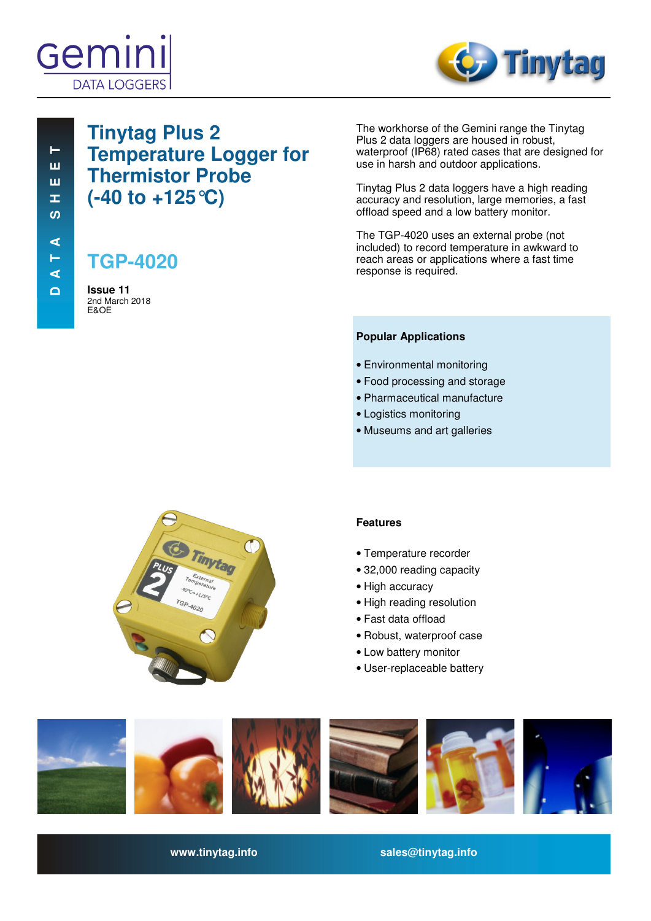



# **Tinytag Plus 2 Temperature Logger for Thermistor Probe (-40 to +125°C)**

# **TGP-4020**

**Issue 11**  2nd March 2018 E&OE

The workhorse of the Gemini range the Tinytag Plus 2 data loggers are housed in robust, waterproof (IP68) rated cases that are designed for use in harsh and outdoor applications.

Tinytag Plus 2 data loggers have a high reading accuracy and resolution, large memories, a fast offload speed and a low battery monitor.

The TGP-4020 uses an external probe (not included) to record temperature in awkward to reach areas or applications where a fast time response is required.

#### **Popular Applications**

- Environmental monitoring
- Food processing and storage
- Pharmaceutical manufacture
- Logistics monitoring
- Museums and art galleries



## **Features**

- Temperature recorder
- 32,000 reading capacity
- High accuracy
- High reading resolution
- Fast data offload
- Robust, waterproof case
- Low battery monitor
- User-replaceable battery



**www.tinytag.info sales@tinytag.info**